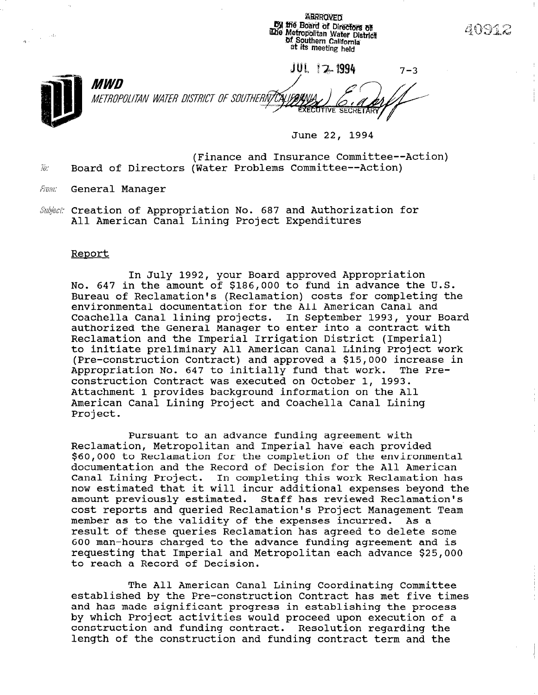ABRROVED by the Board of Directors of **The Metropolitan Water District**<br>The Metropolitan Water District at its meeting held

**JUL 12 1994**  $7 - 3$ *MWD* METROPOLITAN WATER DISTRICT OF SOUTHERNZCALIFORN

June 22, 1994

(Finance and Insurance Committee--Action) .<br>... Board of Directors (Water Problems Committee--Action)

- From: General Manager
- Subject: Creation of Appropriation No. 687 and Authorization for All American Canal Lining Project Expenditures

### Report

 $\frac{1}{\sqrt{2}}$  ,  $\frac{1}{\sqrt{2}}$  ,  $\frac{1}{\sqrt{2}}$ 

In July 1992, your Board approved Appropriation No. 647 in the amount of \$186,000 to fund in advance the U.S. Bureau of Reclamation's (Reclamation) costs for completing the environmental documentation for the All American Canal and Coachella Canal lining projects. In September 1993, your Board authorized the General Manager to enter into a contract with Reclamation and the Imperial Irrigation District (Imperial) to initiate preliminary All American Canal Lining Project work (Pre-construction Contract) and approved a \$15,000 increase in Appropriation No. 647 to initially fund that work. The Preconstruction Contract was executed on October 1, 1993. Attachment 1 provides background information on the All American Canal Lining Project and Coachella Canal Lining Project.

Pursuant to an advance funding agreement with Reclamation, Metropolitan and Imperial have each provided \$60,000 to Reclamation for the completion of the environmental documentation and the Record of Decision for the All American Canal Lining Project. In completing this work Reclamation has now estimated that it will incur additional expenses beyond the amount previously estimated. Staff has reviewed Reclamation's cost reports and queried Reclamation's Project Management Team member as to the validity of the expenses incurred. As a result of these queries Reclamation has agreed to delete some foo man-hours charged to the advance funding agreement and is requesting that Imperial and Metropolitan each advance \$25,000 requesting that Imperial and Metropolitan each advance \$25,000<br>to reach a Record of Decision.

The All American Canal Lining Coordinating Committee established by the Pre-construction Contracting Committee established by the Pre-Construction Contract has met live the<br>and has made significant progress in establishing the process due has made significant progress in establishing the process by which Project activities would proceed upon execution of a construction and funding contract. Resolution regarding the length of the construction and funding contract term and the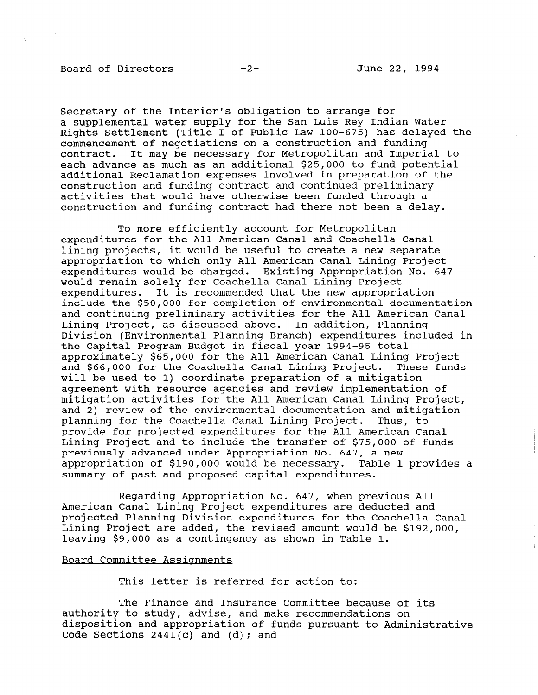Secretary of the Interior's obligation to arrange for a supplemental water supply for the San Luis Rey Indian Water Rights Settlement (Title I of Public Law 100-675) has delayed the commencement of negotiations on a construction and funding contract. It may be necessary for Metropolitan and Imperial to each advance as much as an additional \$25,000 to fund potential additional Reclamation expenses involved in preparation of the construction and funding contract and continued preliminary activities that would have otherwise been funded through a construction and funding contract had there not been a delay.

To more efficiently account for Metropolitan expenditures for the All American Canal and Coachella Canal lining projects, it would be useful to create a new separate appropriation to which only All American Canal Lining Project expenditures would be charged. Existing Appropriation No. 647 would remain solely for Coachella Canal Lining Project expenditures. It is recommended that the new appropriation include the \$50,000 for completion of environmental documentation and continuing preliminary activities for the All American Canal Lining Project, as discussed above. In addition, Planning Division (Environmental Planning Branch) expenditures included in the Capital Program Budget in fiscal year 1994-95 total approximately \$65,000 for the All American Canal Lining Project and \$66,000 for the Coachella Canal Lining Project. These funds will be used to 1) coordinate preparation of a mitigation agreement with resource agencies and review implementation of mitigation activities for the All American Canal Lining Project, and 2) review of the environmental documentation and mitigation planning for the Coachella Canal Lining Project. Thus, to provide for projected expenditures for the All American Canal Lining Project and to include the transfer of \$75,000 of funds previously advanced under Appropriation No. 647, a new appropriation of \$190,000 would be necessary. Table 1 provides a summary of past and proposed capital expenditures.

Regarding Appropriation No. 647, when previous All American Canal Lining Project expenditures are deducted and projected Planning Division expenditures for the Coachella Canal Lining Project are added, the revised amount would be \$192,000, leaving \$9,000 as a contingency as shown in Table 1.

#### Board Committee Assiqnments

This letter is referred for action to:

The Finance and Insurance Committee because of its authority to studies and insurance committee because of duchority to study, duvise, and make recommendations on disposition and appropriation of funds pursuant to Administrative<br>Code Sections 2441(c) and (d); and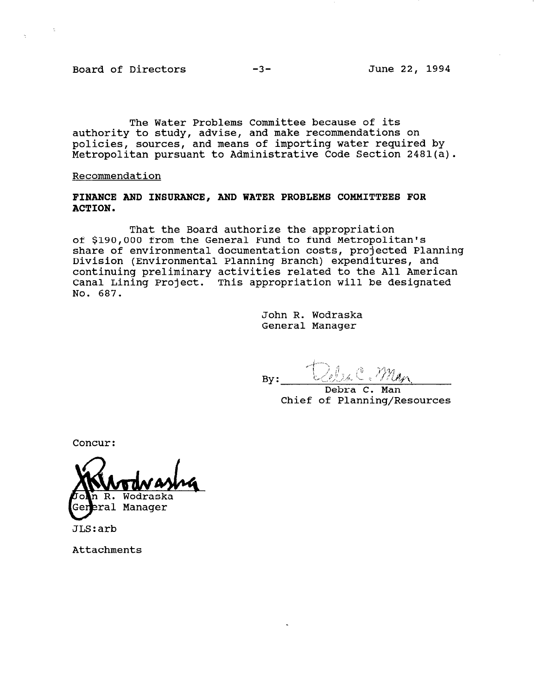Board of Directors -3- June 22, 1994

The Water Problems Committee because of its authority to study, advise, and make recommendations on policies, sources, and means of importing water required by Metropolitan pursuant to Administrative Code Section 2481(a).

Recommendation

FINANCE AND INSURANCE, AND WATER PROBLEMS COMMITTEES FOR ACTION.

That the Board authorize the appropriation of \$190,000 from the General Fund to fund Metropolitan's share of environmental documentation costs, projected Planning Division (Environmental Planning Branch) expenditures, and continuing preliminary activities related to the All American Canal Lining Project. This appropriation will be designated No. 687.

> John R. Wodraska General Manager

 $By:$ 

Debra C. Man Chief of Planning/Resources

Concur:

Wodraska  $R_{\odot}$ 

eral Manager

JLS:arb

Attachments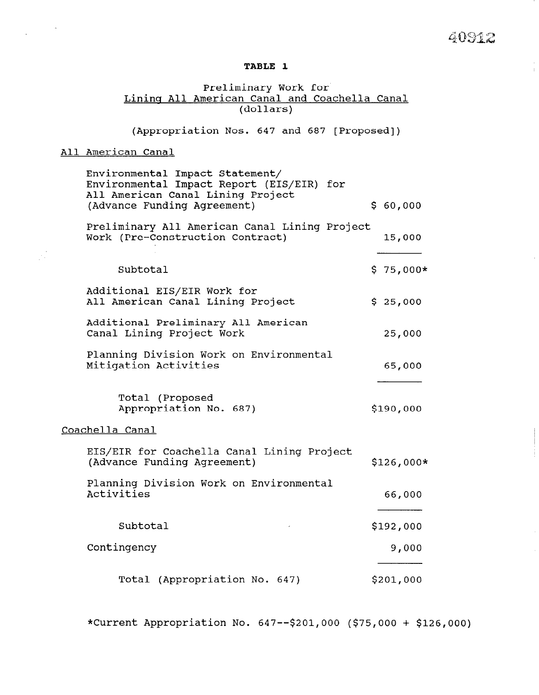## 40912

 $\bar{1}$ 

## TABLE 1

## Preliminary Work for Lining All American Canal and Coachella Canal (dolla:

(Appropriation Nos. 647 and 687 [Proposed])

## All American Canal

 $\sim 10^{-10}$  k

 $\frac{1}{2}$ 

| Environmental Impact Statement/<br>Environmental Impact Report (EIS/EIR) for<br>All American Canal Lining Project<br>(Advance Funding Agreement) | \$60,000    |
|--------------------------------------------------------------------------------------------------------------------------------------------------|-------------|
| Preliminary All American Canal Lining Project<br>Work (Pre-Construction Contract)                                                                | 15,000      |
| Subtotal                                                                                                                                         | $$75,000*$  |
| Additional EIS/EIR Work for<br>All American Canal Lining Project                                                                                 | \$25,000    |
| Additional Preliminary All American<br>Canal Lining Project Work                                                                                 | 25,000      |
| Planning Division Work on Environmental<br>Mitigation Activities                                                                                 | 65,000      |
| Total (Proposed<br>Appropriation No. 687)                                                                                                        | \$190,000   |
| Coachella Canal                                                                                                                                  |             |
| EIS/EIR for Coachella Canal Lining Project<br>(Advance Funding Agreement)                                                                        | $$126,000*$ |
| Planning Division Work on Environmental<br>Activities                                                                                            | 66,000      |
| Subtotal                                                                                                                                         | \$192,000   |
| Contingency                                                                                                                                      | 9,000       |
| Total (Appropriation No. 647)                                                                                                                    | \$201,000   |

\*Current Appropriation No. 647-- \$201,000 (\$75,000 + \$126,000)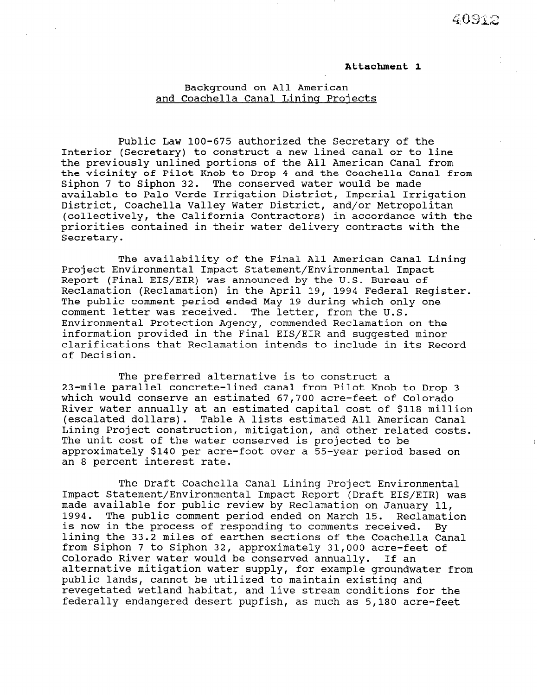## Attachment 1

## Background on All American and Coachella Canal Lining Projects

Public Law loo-675 authorized the Secretary of the Interior (Secretary) to construct a new lined canal or to line the previously unlined portions of the All American Canal from the vicinity of Pilot Knob to Drop 4 and the Coachella Canal from Siphon 7 to Siphon 32. The conserved water would be made available to Palo Verde Irrigation District, Imperial Irrigation District, Coachella Valley Water District, and/or Metropolitan (collectively, the California Contractors) in accordance with the priorities contained in their water delivery contracts with the Secretary.

The availability of the Final All American Canal Lining Project Environmental Impact Statement/Environmental Impact Report (Final EIS/EIR) was announced by the U.S. Bureau of Reclamation (Reclamation) in the April 19, 1994 Federal Register. The public comment period ended May 19 during which only one comment letter was received. The letter, from the U.S. Environmental Protection Agency, commended Reclamation on the information provided in the Final EIS/EIR and suggested minor clarifications that Reclamation intends to include in its Record of Decision.

The preferred alternative is to construct a 23-mile parallel concrete-lined canal from Pilot Knob to Drop 3 which would conserve an estimated 67,700 acre-feet of Colorado River water annually at an estimated capital cost of \$118 million (escalated dollars). Table A lists estimated All American Canal Lining Project construction, mitigation, and other related costs. The unit cost of the water conserved is projected to be approximately \$140 per acre-foot over a 55-year period based on an 8 percent interest rate.

The Draft Coachella Canal Lining Project Environmental Impact Statement/Environmental Impact Report (Draft EIS/EIR) was mpact btatement, mivitommental impact report (biait nio, nin, w naue availante for pantic feview by Reclamation on Danuary 11,<br>1994. The public comment period ended on March 15. Reclamati 1994. The public comment period ended on March 15. Reclamation is now in the process of responding to comments received. By lining the 33.2 miles of earthen sections of the Coachella Canal from Siphon 7 to Siphon 32, approximately 31,000 acre-feet of from Siphon 7 to Siphon 32, approximately 31,000 acre-feet of<br>Colorado River water would be conserved annually. If an colorado kiver water would be conserved annually. If an arternative mitigation water supply, for example groundwa public lands, cannot be utilized to maintain existing and<br>revegetated wetland habitat, and live stream conditions for the federally endangered desert pupfish, as much as 5,180 acre-feet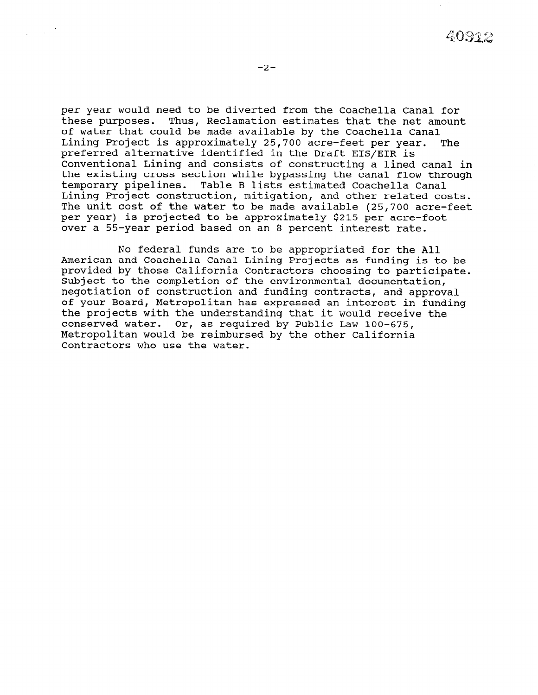per year would need to be diverted from the Coachella Canal for these purposes. Thus, Reclamation estimates that the net amount of water that could be made available by the Coachella Canal Lining Project is approximately 25,700 acre-feet per year. The preferred alternative identified in the Draft EIS/EIR is Conventional Lining and consists of constructing a lined canal in the existing cross section while bypassing the canal flow through temporary pipelines. Table B lists estimated Coachella Canal Lining Project construction, mitigation, and other related costs. The unit cost of the water to be made available (25,700 acre-feet per year) is projected to be approximately \$215 per acre-foot over a 55-year period based on an 8 percent interest rate.

No federal funds are to be appropriated for the All American and Coachella Canal Lining Projects as funding is to be provided by those California Contractors choosing to participate. Subject to the completion of the environmental documentation, negotiation of construction and funding contracts, and approval of your Board, Metropolitan has expressed an interest in funding the projects with the understanding that it would receive the conserved water. Or, as required by Public Law 100-675, Metropolitan would be reimbursed by the other California Contractors who use the water.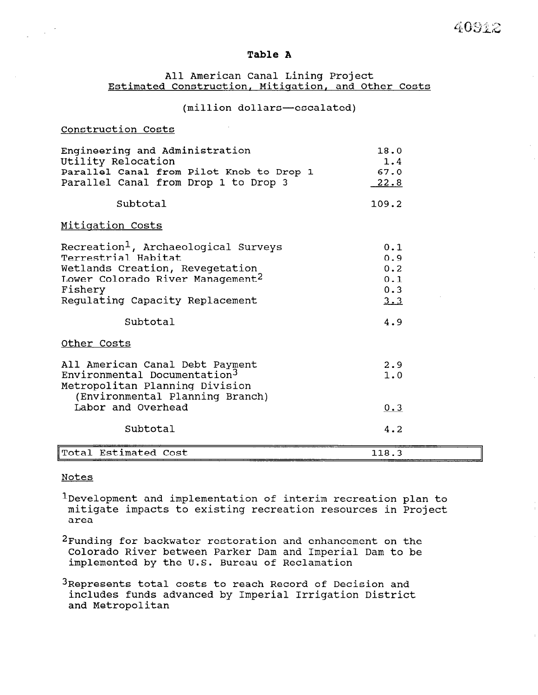## Table A

## All American Canal Lining Project Estimated Construction, Mitiqation, and Other Costs

## (million dollars-escalated)

## Construction Costs

| Engineering and Administration           | 18.0          |
|------------------------------------------|---------------|
| Utility Relocation                       | 1.4           |
| Parallel Canal from Pilot Knob to Drop 1 | 67.0          |
| Parallel Canal from Drop 1 to Drop 3     | <u>. 22.8</u> |
|                                          |               |

## Subtotal 109.2

## Mitiqation Costs

| Recreation <sup>1</sup> , Archaeological Surveys<br>Terrestrial Habitat<br>Wetlands Creation, Revegetation<br>Lower Colorado River Management <sup>2</sup><br>Fishery<br>Regulating Capacity Replacement | 0.1<br>0.9<br>0.2<br>0.1<br>0.3<br>3.3 |
|----------------------------------------------------------------------------------------------------------------------------------------------------------------------------------------------------------|----------------------------------------|
| Subtotal                                                                                                                                                                                                 | 4.9                                    |
| Other Costs                                                                                                                                                                                              |                                        |
| All American Canal Debt Payment<br>Environmental Documentation <sup>3</sup><br>Metropolitan Planning Division                                                                                            | 2.9<br>1.0                             |
| (Environmental Planning Branch)<br>Labor and Overhead                                                                                                                                                    | 0.3                                    |

# Total Estimated Cost 118.3

Subtotal 4.2

#### Notes

1Development and implementation of interim recreation plan to mitigate impacts to existing requestion recreation projection. ᄠᄔᆫᅬ<br><sup></sub></sup>

2Funding for backwater restoration and enhancement on the runding for backwater restoration and emiancement on the Colorado River between Parker Dam and Imperial Dam to be implemented by the U.S. Bureau of Reclamation

 $3R$ epresents total costs to reach  $R$ kepresents total costs to reach kecord of Decision a<br>includes funds advanced by Imperial Industriction includes funds advanced by Imperial Irrigation District<br>and Metropolitan